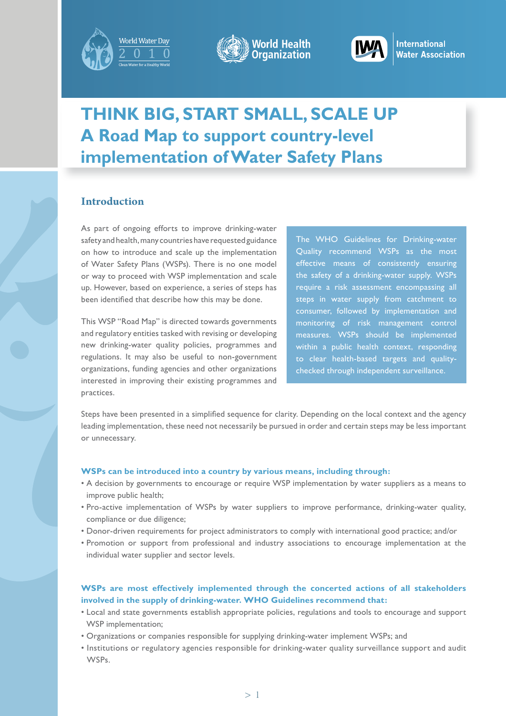





nternational **Vater Association** 

# **THINK BIG, START SMALL, SCALE UP A Road Map to support country-level implementation of Water Safety Plans**

# **Introduction**

As part of ongoing efforts to improve drinking-water safety and health, many countries have requested guidance on how to introduce and scale up the implementation of Water Safety Plans (WSPs). There is no one model or way to proceed with WSP implementation and scale up. However, based on experience, a series of steps has been identified that describe how this may be done.

This WSP "Road Map" is directed towards governments and regulatory entities tasked with revising or developing new drinking-water quality policies, programmes and regulations. It may also be useful to non-government organizations, funding agencies and other organizations interested in improving their existing programmes and practices.

The WHO Guidelines for Drinking-water Quality recommend WSPs as the most effective means of consistently ensuring the safety of a drinking-water supply. WSPs require a risk assessment encompassing all steps in water supply from catchment to consumer, followed by implementation and monitoring of risk management control measures. WSPs should be implemented within a public health context, responding to clear health-based targets and qualitychecked through independent surveillance.

Steps have been presented in a simplified sequence for clarity. Depending on the local context and the agency leading implementation, these need not necessarily be pursued in order and certain steps may be less important or unnecessary.

## **WSPs can be introduced into a country by various means, including through:**

- A decision by governments to encourage or require WSP implementation by water suppliers as a means to improve public health;
- Pro-active implementation of WSPs by water suppliers to improve performance, drinking-water quality, compliance or due diligence;
- Donor-driven requirements for project administrators to comply with international good practice; and/or
- Promotion or support from professional and industry associations to encourage implementation at the individual water supplier and sector levels.

# **WSPs are most effectively implemented through the concerted actions of all stakeholders involved in the supply of drinking-water. WHO Guidelines recommend that:**

- Local and state governments establish appropriate policies, regulations and tools to encourage and support WSP implementation;
- Organizations or companies responsible for supplying drinking-water implement WSPs; and
- Institutions or regulatory agencies responsible for drinking-water quality surveillance support and audit WSPs.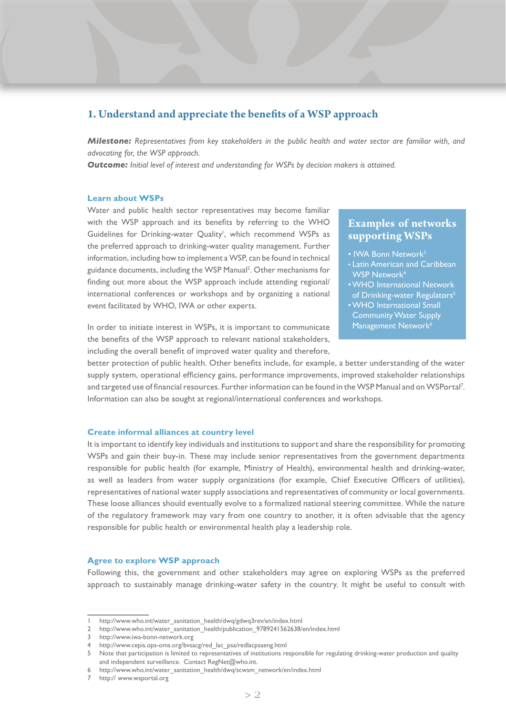# 1. Understand and appreciate the benefits of a WSP approach

*Milestone: Representatives from key stakeholders in the public health and water sector are familiar with, and advocating for, the WSP approach.*

*Outcome: Initial level of interest and understanding for WSPs by decision makers is attained.* 

## **Learn about WSPs**

Water and public health sector representatives may become familiar with the WSP approach and its benefits by referring to the WHO Guidelines for Drinking-water Quality<sup>1</sup>, which recommend WSPs as the preferred approach to drinking-water quality management. Further information, including how to implement a WSP, can be found in technical guidance documents, including the WSP Manual<sup>2</sup>. Other mechanisms for finding out more about the WSP approach include attending regional/ international conferences or workshops and by organizing a national event facilitated by WHO, IWA or other experts.

In order to initiate interest in WSPs, it is important to communicate the benefits of the WSP approach to relevant national stakeholders, including the overall benefit of improved water quality and therefore,

# **Examples of networks supporting WSPs**

- IWA Bonn Network<sup>3</sup>
- Latin American and Caribbean WSP Network<sup>4</sup>
- WHO International Network of Drinking-water Regulators<sup>5</sup>
- WHO International Small Community Water Supply Management Network<sup>6</sup>

better protection of public health. Other benefits include, for example, a better understanding of the water supply system, operational efficiency gains, performance improvements, improved stakeholder relationships and targeted use of financial resources. Further information can be found in the WSP Manual and on WSPortal<sup>7</sup>. Information can also be sought at regional/international conferences and workshops.

## **Create informal alliances at country level**

It is important to identify key individuals and institutions to support and share the responsibility for promoting WSPs and gain their buy-in. These may include senior representatives from the government departments responsible for public health (for example, Ministry of Health), environmental health and drinking-water, as well as leaders from water supply organizations (for example, Chief Executive Officers of utilities), representatives of national water supply associations and representatives of community or local governments. These loose alliances should eventually evolve to a formalized national steering committee. While the nature of the regulatory framework may vary from one country to another, it is often advisable that the agency responsible for public health or environmental health play a leadership role.

#### **Agree to explore WSP approach**

Following this, the government and other stakeholders may agree on exploring WSPs as the preferred approach to sustainably manage drinking-water safety in the country. It might be useful to consult with

http://www.who.int/water\_sanitation\_health/dwq/gdwq3rev/en/index.html

<sup>2</sup> http://www.who.int/water\_sanitation\_health/publication\_9789241562638/en/index.html

<sup>3</sup> http://www.iwa-bonn-network.org

<sup>4</sup> http://www.cepis.ops-oms.org/bvsacg/red\_lac\_psa/redlacpsaeng.html

<sup>5</sup> Note that participation is limited to representatives of institutions responsible for regulating drinking-water production and quality and independent surveillance. Contact RegNet@who.int.

<sup>6</sup> http://www.who.int/water\_sanitation\_health/dwq/scwsm\_network/en/index.html

http:// www.wsportal.org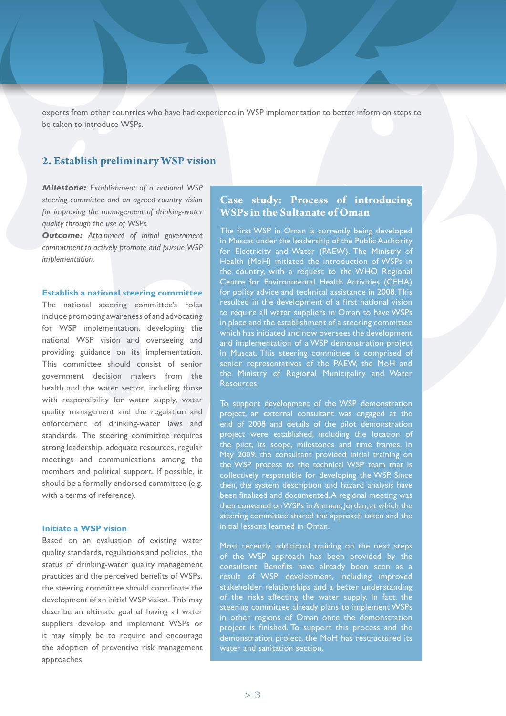experts from other countries who have had experience in WSP implementation to better inform on steps to be taken to introduce WSPs.

# **2. Establish preliminary WSP vision**

*Milestone: Establishment of a national WSP steering committee and an agreed country vision for improving the management of drinking-water quality through the use of WSPs.*

*Outcome: Attainment of initial government commitment to actively promote and pursue WSP implementation.*

## **Establish a national steering committee**

The national steering committee's roles include promoting awareness of and advocating for WSP implementation, developing the national WSP vision and overseeing and providing guidance on its implementation. This committee should consist of senior government decision makers from the health and the water sector, including those with responsibility for water supply, water quality management and the regulation and enforcement of drinking-water laws and standards. The steering committee requires strong leadership, adequate resources, regular meetings and communications among the members and political support. If possible, it should be a formally endorsed committee (e.g. with a terms of reference).

# **Initiate a WSP vision**

Based on an evaluation of existing water quality standards, regulations and policies, the status of drinking-water quality management practices and the perceived benefits of WSPs, the steering committee should coordinate the development of an initial WSP vision. This may describe an ultimate goal of having all water suppliers develop and implement WSPs or it may simply be to require and encourage the adoption of preventive risk management approaches.

# **Case study: Process of introducing WSPs in the Sultanate of Oman**

The first WSP in Oman is currently being developed in Muscat under the leadership of the Public Authority for Electricity and Water (PAEW). The Ministry of Health (MoH) initiated the introduction of WSPs in the country, with a request to the WHO Regional Centre for Environmental Health Activities (CEHA) for policy advice and technical assistance in 2008. This resulted in the development of a first national vision to require all water suppliers in Oman to have WSPs in place and the establishment of a steering committee which has initiated and now oversees the development and implementation of a WSP demonstration project in Muscat. This steering committee is comprised of senior representatives of the PAEW, the MoH and the Ministry of Regional Municipality and Water Resources.

To support development of the WSP demonstration project, an external consultant was engaged at the end of 2008 and details of the pilot demonstration project were established, including the location of the pilot, its scope, milestones and time frames. In May 2009, the consultant provided initial training on the WSP process to the technical WSP team that is collectively responsible for developing the WSP. Since then, the system description and hazard analysis have been finalized and documented. A regional meeting was then convened on WSPs in Amman, Jordan, at which the steering committee shared the approach taken and the initial lessons learned in Oman.

Most recently, additional training on the next steps of the WSP approach has been provided by the consultant. Benefits have already been seen as a result of WSP development, including improved stakeholder relationships and a better understanding of the risks affecting the water supply. In fact, the steering committee already plans to implement WSPs in other regions of Oman once the demonstration project is finished. To support this process and the demonstration project, the MoH has restructured its water and sanitation section.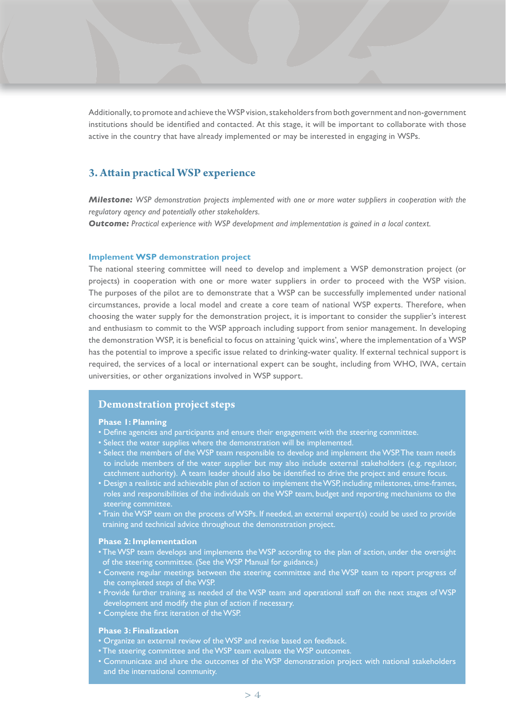Additionally, to promote and achieve the WSP vision, stakeholders from both government and non-government institutions should be identified and contacted. At this stage, it will be important to collaborate with those active in the country that have already implemented or may be interested in engaging in WSPs.

# **3. Attain practical WSP experience**

*Milestone: WSP demonstration projects implemented with one or more water suppliers in cooperation with the regulatory agency and potentially other stakeholders.*

*Outcome: Practical experience with WSP development and implementation is gained in a local context.* 

## **Implement WSP demonstration project**

The national steering committee will need to develop and implement a WSP demonstration project (or projects) in cooperation with one or more water suppliers in order to proceed with the WSP vision. The purposes of the pilot are to demonstrate that a WSP can be successfully implemented under national circumstances, provide a local model and create a core team of national WSP experts. Therefore, when choosing the water supply for the demonstration project, it is important to consider the supplier's interest and enthusiasm to commit to the WSP approach including support from senior management. In developing the demonstration WSP, it is beneficial to focus on attaining 'quick wins', where the implementation of a WSP has the potential to improve a specific issue related to drinking-water quality. If external technical support is required, the services of a local or international expert can be sought, including from WHO, IWA, certain universities, or other organizations involved in WSP support.

# **Demonstration project steps**

## **Phase 1: Planning**

- Define agencies and participants and ensure their engagement with the steering committee.
- Select the water supplies where the demonstration will be implemented.
- Select the members of the WSP team responsible to develop and implement the WSP. The team needs to include members of the water supplier but may also include external stakeholders (e.g. regulator, catchment authority). A team leader should also be identified to drive the project and ensure focus.
- Design a realistic and achievable plan of action to implement the WSP, including milestones, time-frames, roles and responsibilities of the individuals on the WSP team, budget and reporting mechanisms to the steering committee.
- Train the WSP team on the process of WSPs. If needed, an external expert(s) could be used to provide training and technical advice throughout the demonstration project.

## **Phase 2: Implementation**

- The WSP team develops and implements the WSP according to the plan of action, under the oversight of the steering committee. (See the WSP Manual for guidance.)
- Convene regular meetings between the steering committee and the WSP team to report progress of the completed steps of the WSP.
- Provide further training as needed of the WSP team and operational staff on the next stages of WSP development and modify the plan of action if necessary.
- Complete the first iteration of the WSP.

# **Phase 3: Finalization**

- Organize an external review of the WSP and revise based on feedback.
- The steering committee and the WSP team evaluate the WSP outcomes.
- Communicate and share the outcomes of the WSP demonstration project with national stakeholders and the international community.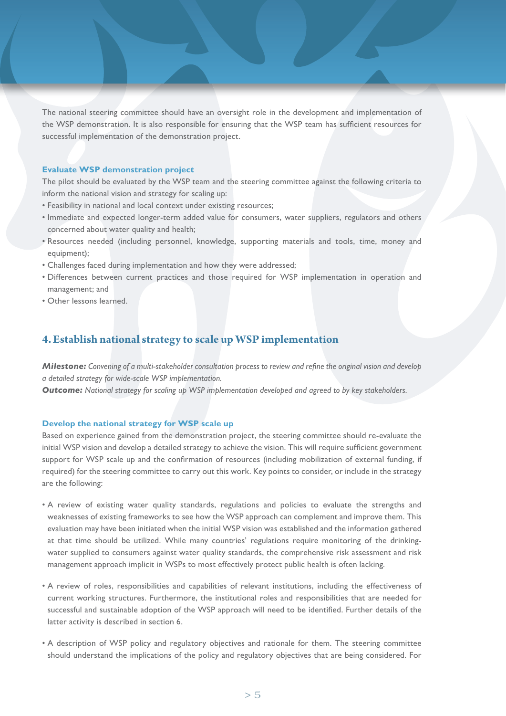The national steering committee should have an oversight role in the development and implementation of the WSP demonstration. It is also responsible for ensuring that the WSP team has sufficient resources for successful implementation of the demonstration project.

## **Evaluate WSP demonstration project**

The pilot should be evaluated by the WSP team and the steering committee against the following criteria to inform the national vision and strategy for scaling up:

- Feasibility in national and local context under existing resources;
- Immediate and expected longer-term added value for consumers, water suppliers, regulators and others concerned about water quality and health;
- Resources needed (including personnel, knowledge, supporting materials and tools, time, money and equipment);
- Challenges faced during implementation and how they were addressed;
- Differences between current practices and those required for WSP implementation in operation and management; and
- Other lessons learned.

# **4.Establish national strategy to scale up WSP implementation**

*Milestone: Convening of a multi-stakeholder consultation process to review and refine the original vision and develop a detailed strategy for wide-scale WSP implementation.*

*Outcome: National strategy for scaling up WSP implementation developed and agreed to by key stakeholders.* 

# **Develop the national strategy for WSP scale up**

Based on experience gained from the demonstration project, the steering committee should re-evaluate the initial WSP vision and develop a detailed strategy to achieve the vision. This will require sufficient government support for WSP scale up and the confirmation of resources (including mobilization of external funding, if required) for the steering committee to carry out this work. Key points to consider, or include in the strategy are the following:

- A review of existing water quality standards, regulations and policies to evaluate the strengths and weaknesses of existing frameworks to see how the WSP approach can complement and improve them. This evaluation may have been initiated when the initial WSP vision was established and the information gathered at that time should be utilized. While many countries' regulations require monitoring of the drinkingwater supplied to consumers against water quality standards, the comprehensive risk assessment and risk management approach implicit in WSPs to most effectively protect public health is often lacking.
- A review of roles, responsibilities and capabilities of relevant institutions, including the effectiveness of current working structures. Furthermore, the institutional roles and responsibilities that are needed for successful and sustainable adoption of the WSP approach will need to be identified. Further details of the latter activity is described in section 6.
- A description of WSP policy and regulatory objectives and rationale for them. The steering committee should understand the implications of the policy and regulatory objectives that are being considered. For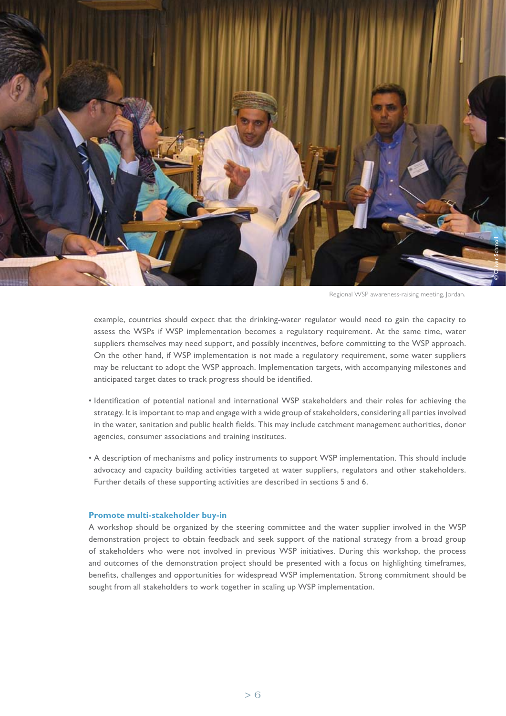

Regional WSP awareness-raising meeting, Jordan.

example, countries should expect that the drinking-water regulator would need to gain the capacity to assess the WSPs if WSP implementation becomes a regulatory requirement. At the same time, water suppliers themselves may need support, and possibly incentives, before committing to the WSP approach. On the other hand, if WSP implementation is not made a regulatory requirement, some water suppliers may be reluctant to adopt the WSP approach. Implementation targets, with accompanying milestones and anticipated target dates to track progress should be identified.

- Identification of potential national and international WSP stakeholders and their roles for achieving the strategy. It is important to map and engage with a wide group of stakeholders, considering all parties involved in the water, sanitation and public health fields. This may include catchment management authorities, donor agencies, consumer associations and training institutes.
- A description of mechanisms and policy instruments to support WSP implementation. This should include advocacy and capacity building activities targeted at water suppliers, regulators and other stakeholders. Further details of these supporting activities are described in sections 5 and 6.

## **Promote multi-stakeholder buy-in**

A workshop should be organized by the steering committee and the water supplier involved in the WSP demonstration project to obtain feedback and seek support of the national strategy from a broad group of stakeholders who were not involved in previous WSP initiatives. During this workshop, the process and outcomes of the demonstration project should be presented with a focus on highlighting timeframes, benefits, challenges and opportunities for widespread WSP implementation. Strong commitment should be sought from all stakeholders to work together in scaling up WSP implementation.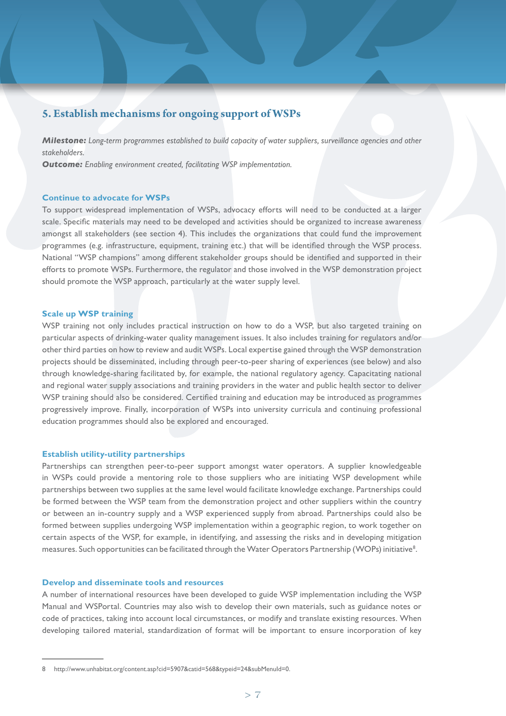# **5. Establish mechanisms for ongoing support of WSPs**

*Milestone: Long-term programmes established to build capacity of water suppliers, surveillance agencies and other stakeholders.* 

**Outcome:** *Enabling environment created, facilitating WSP implementation.* 

#### **Continue to advocate for WSPs**

To support widespread implementation of WSPs, advocacy efforts will need to be conducted at a larger scale. Specific materials may need to be developed and activities should be organized to increase awareness amongst all stakeholders (see section 4). This includes the organizations that could fund the improvement programmes (e.g. infrastructure, equipment, training etc.) that will be identified through the WSP process. National "WSP champions" among different stakeholder groups should be identified and supported in their efforts to promote WSPs. Furthermore, the regulator and those involved in the WSP demonstration project should promote the WSP approach, particularly at the water supply level.

## **Scale up WSP training**

WSP training not only includes practical instruction on how to do a WSP, but also targeted training on particular aspects of drinking-water quality management issues. It also includes training for regulators and/or other third parties on how to review and audit WSPs. Local expertise gained through the WSP demonstration projects should be disseminated, including through peer-to-peer sharing of experiences (see below) and also through knowledge-sharing facilitated by, for example, the national regulatory agency. Capacitating national and regional water supply associations and training providers in the water and public health sector to deliver WSP training should also be considered. Certified training and education may be introduced as programmes progressively improve. Finally, incorporation of WSPs into university curricula and continuing professional education programmes should also be explored and encouraged.

## **Establish utility-utility partnerships**

Partnerships can strengthen peer-to-peer support amongst water operators. A supplier knowledgeable in WSPs could provide a mentoring role to those suppliers who are initiating WSP development while partnerships between two supplies at the same level would facilitate knowledge exchange. Partnerships could be formed between the WSP team from the demonstration project and other suppliers within the country or between an in-country supply and a WSP experienced supply from abroad. Partnerships could also be formed between supplies undergoing WSP implementation within a geographic region, to work together on certain aspects of the WSP, for example, in identifying, and assessing the risks and in developing mitigation measures. Such opportunities can be facilitated through the Water Operators Partnership (WOPs) initiative<sup>8</sup>.

## **Develop and disseminate tools and resources**

A number of international resources have been developed to guide WSP implementation including the WSP Manual and WSPortal. Countries may also wish to develop their own materials, such as guidance notes or code of practices, taking into account local circumstances, or modify and translate existing resources. When developing tailored material, standardization of format will be important to ensure incorporation of key

<sup>8</sup> http://www.unhabitat.org/content.asp?cid=5907&catid=568&typeid=24&subMenuId=0.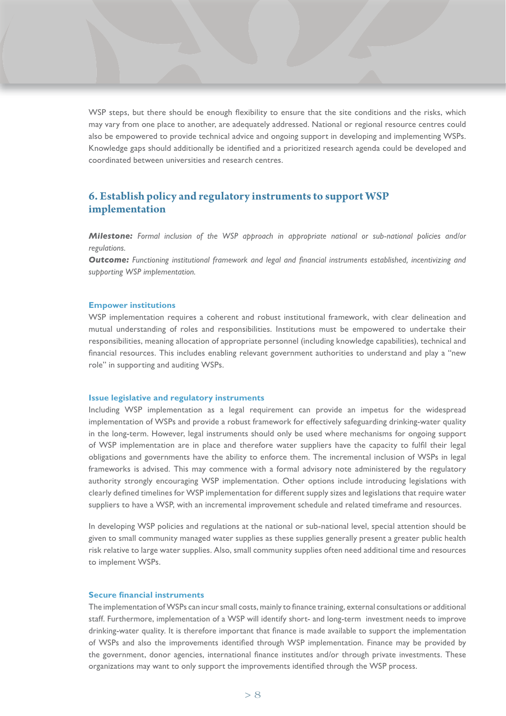WSP steps, but there should be enough flexibility to ensure that the site conditions and the risks, which may vary from one place to another, are adequately addressed. National or regional resource centres could also be empowered to provide technical advice and ongoing support in developing and implementing WSPs. Knowledge gaps should additionally be identified and a prioritized research agenda could be developed and coordinated between universities and research centres.

# **6. Establish policy and regulatory instruments to support WSP implementation**

*Milestone: Formal inclusion of the WSP approach in appropriate national or sub-national policies and/or regulations.* 

**Outcome:** Functioning institutional framework and legal and financial instruments established, incentivizing and *supporting WSP implementation.*

#### **Empower institutions**

WSP implementation requires a coherent and robust institutional framework, with clear delineation and mutual understanding of roles and responsibilities. Institutions must be empowered to undertake their responsibilities, meaning allocation of appropriate personnel (including knowledge capabilities), technical and financial resources. This includes enabling relevant government authorities to understand and play a "new role" in supporting and auditing WSPs.

#### **Issue legislative and regulatory instruments**

Including WSP implementation as a legal requirement can provide an impetus for the widespread implementation of WSPs and provide a robust framework for effectively safeguarding drinking-water quality in the long-term. However, legal instruments should only be used where mechanisms for ongoing support of WSP implementation are in place and therefore water suppliers have the capacity to fulfil their legal obligations and governments have the ability to enforce them. The incremental inclusion of WSPs in legal frameworks is advised. This may commence with a formal advisory note administered by the regulatory authority strongly encouraging WSP implementation. Other options include introducing legislations with clearly defined timelines for WSP implementation for different supply sizes and legislations that require water suppliers to have a WSP, with an incremental improvement schedule and related timeframe and resources.

In developing WSP policies and regulations at the national or sub-national level, special attention should be given to small community managed water supplies as these supplies generally present a greater public health risk relative to large water supplies. Also, small community supplies often need additional time and resources to implement WSPs.

## **Secure financial instruments**

The implementation of WSPs can incur small costs, mainly to finance training, external consultations or additional staff. Furthermore, implementation of a WSP will identify short- and long-term investment needs to improve drinking-water quality. It is therefore important that finance is made available to support the implementation of WSPs and also the improvements identified through WSP implementation. Finance may be provided by the government, donor agencies, international finance institutes and/or through private investments. These organizations may want to only support the improvements identified through the WSP process.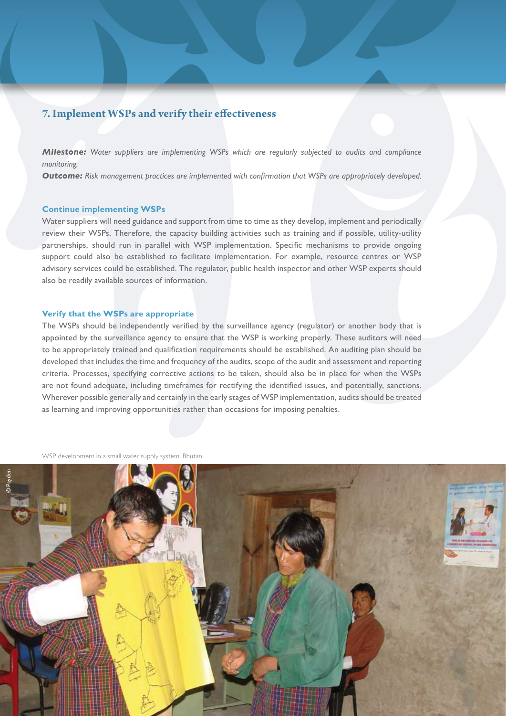# **7. Implement WSPs and verify their effectiveness**

*Milestone: Water suppliers are implementing WSPs which are regularly subjected to audits and compliance monitoring.*

**Outcome:** Risk management practices are implemented with confirmation that WSPs are appropriately developed.

## **Continue implementing WSPs**

Water suppliers will need guidance and support from time to time as they develop, implement and periodically review their WSPs. Therefore, the capacity building activities such as training and if possible, utility-utility partnerships, should run in parallel with WSP implementation. Specific mechanisms to provide ongoing support could also be established to facilitate implementation. For example, resource centres or WSP advisory services could be established. The regulator, public health inspector and other WSP experts should also be readily available sources of information.

## **Verify that the WSPs are appropriate**

The WSPs should be independently verified by the surveillance agency (regulator) or another body that is appointed by the surveillance agency to ensure that the WSP is working properly. These auditors will need to be appropriately trained and qualification requirements should be established. An auditing plan should be developed that includes the time and frequency of the audits, scope of the audit and assessment and reporting criteria. Processes, specifying corrective actions to be taken, should also be in place for when the WSPs are not found adequate, including timeframes for rectifying the identified issues, and potentially, sanctions. Wherever possible generally and certainly in the early stages of WSP implementation, audits should be treated as learning and improving opportunities rather than occasions for imposing penalties.

WSP development in a small water supply system, Bhutan